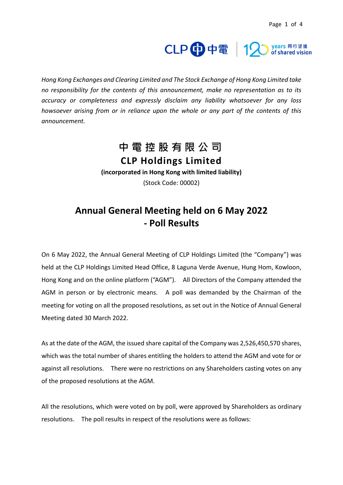# CLP 中電 | 12 vears 同行望遠

*Hong Kong Exchanges and Clearing Limited and The Stock Exchange of Hong Kong Limited take no responsibility for the contents of this announcement, make no representation as to its accuracy or completeness and expressly disclaim any liability whatsoever for any loss howsoever arising from or in reliance upon the whole or any part of the contents of this announcement.*

## **中電控股有限公司**

**CLP Holdings Limited (incorporated in Hong Kong with limited liability)** (Stock Code: 00002)

#### **Annual General Meeting held on 6 May 2022 - Poll Results**

On 6 May 2022, the Annual General Meeting of CLP Holdings Limited (the "Company") was held at the CLP Holdings Limited Head Office, 8 Laguna Verde Avenue, Hung Hom, Kowloon, Hong Kong and on the online platform ("AGM"). All Directors of the Company attended the AGM in person or by electronic means. A poll was demanded by the Chairman of the meeting for voting on all the proposed resolutions, as set out in the Notice of Annual General Meeting dated 30 March 2022.

As at the date of the AGM, the issued share capital of the Company was 2,526,450,570 shares, which was the total number of shares entitling the holders to attend the AGM and vote for or against all resolutions. There were no restrictions on any Shareholders casting votes on any of the proposed resolutions at the AGM.

All the resolutions, which were voted on by poll, were approved by Shareholders as ordinary resolutions. The poll results in respect of the resolutions were as follows: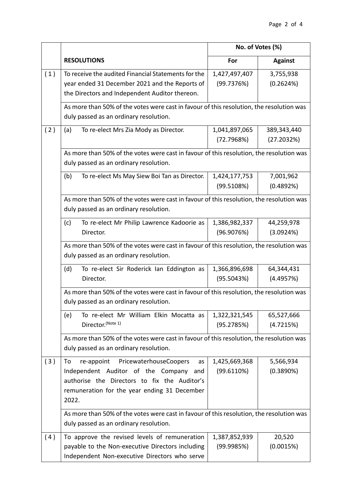|     |                                                                                          | No. of Votes (%) |                |  |  |
|-----|------------------------------------------------------------------------------------------|------------------|----------------|--|--|
|     | <b>RESOLUTIONS</b>                                                                       | For              | <b>Against</b> |  |  |
| (1) | To receive the audited Financial Statements for the                                      | 1,427,497,407    | 3,755,938      |  |  |
|     | year ended 31 December 2021 and the Reports of                                           | (99.7376%)       | (0.2624%)      |  |  |
|     | the Directors and Independent Auditor thereon.                                           |                  |                |  |  |
|     | As more than 50% of the votes were cast in favour of this resolution, the resolution was |                  |                |  |  |
|     | duly passed as an ordinary resolution.                                                   |                  |                |  |  |
| (2) | To re-elect Mrs Zia Mody as Director.<br>(a)                                             | 1,041,897,065    | 389,343,440    |  |  |
|     |                                                                                          | (72.7968%)       | (27.2032%)     |  |  |
|     | As more than 50% of the votes were cast in favour of this resolution, the resolution was |                  |                |  |  |
|     | duly passed as an ordinary resolution.                                                   |                  |                |  |  |
|     | To re-elect Ms May Siew Boi Tan as Director.<br>(b)                                      | 1,424,177,753    | 7,001,962      |  |  |
|     |                                                                                          | (99.5108%)       | (0.4892%)      |  |  |
|     | As more than 50% of the votes were cast in favour of this resolution, the resolution was |                  |                |  |  |
|     | duly passed as an ordinary resolution.                                                   |                  |                |  |  |
|     | To re-elect Mr Philip Lawrence Kadoorie as<br>(c)                                        | 1,386,982,337    | 44,259,978     |  |  |
|     | Director.                                                                                | (96.9076%)       | (3.0924%)      |  |  |
|     | As more than 50% of the votes were cast in favour of this resolution, the resolution was |                  |                |  |  |
|     | duly passed as an ordinary resolution.                                                   |                  |                |  |  |
|     | To re-elect Sir Roderick Ian Eddington as<br>(d)                                         | 1,366,896,698    | 64,344,431     |  |  |
|     | Director.                                                                                | (95.5043%)       | (4.4957%)      |  |  |
|     | As more than 50% of the votes were cast in favour of this resolution, the resolution was |                  |                |  |  |
|     | duly passed as an ordinary resolution.                                                   |                  |                |  |  |
|     | To re-elect Mr William Elkin Mocatta as<br>(e)                                           | 1,322,321,545    | 65,527,666     |  |  |
|     | Director. (Note 1)                                                                       | (95.2785%)       | (4.7215%)      |  |  |
|     | As more than 50% of the votes were cast in favour of this resolution, the resolution was |                  |                |  |  |
|     | duly passed as an ordinary resolution.                                                   |                  |                |  |  |
| (3) | re-appoint PricewaterhouseCoopers<br>To<br>as                                            | 1,425,669,368    | 5,566,934      |  |  |
|     | Independent Auditor of the Company and                                                   | (99.6110%)       | (0.3890%)      |  |  |
|     | authorise the Directors to fix the Auditor's                                             |                  |                |  |  |
|     | remuneration for the year ending 31 December                                             |                  |                |  |  |
|     | 2022.                                                                                    |                  |                |  |  |
|     | As more than 50% of the votes were cast in favour of this resolution, the resolution was |                  |                |  |  |
|     | duly passed as an ordinary resolution.                                                   |                  |                |  |  |
| (4) | To approve the revised levels of remuneration                                            | 1,387,852,939    | 20,520         |  |  |
|     | payable to the Non-executive Directors including                                         | (99.9985%)       | (0.0015%)      |  |  |
|     | Independent Non-executive Directors who serve                                            |                  |                |  |  |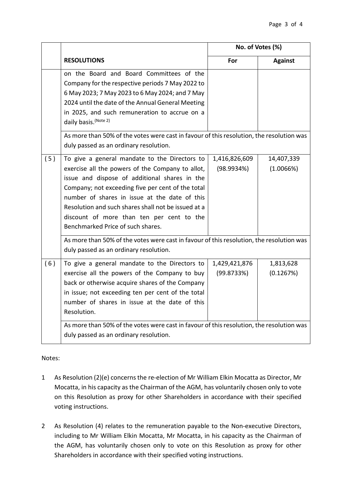|     |                                                                                                                                                                                                                                                                                                                                                                                                   | No. of Votes (%)            |                         |
|-----|---------------------------------------------------------------------------------------------------------------------------------------------------------------------------------------------------------------------------------------------------------------------------------------------------------------------------------------------------------------------------------------------------|-----------------------------|-------------------------|
|     | <b>RESOLUTIONS</b>                                                                                                                                                                                                                                                                                                                                                                                | For                         | <b>Against</b>          |
|     | on the Board and Board Committees of the<br>Company for the respective periods 7 May 2022 to<br>6 May 2023; 7 May 2023 to 6 May 2024; and 7 May<br>2024 until the date of the Annual General Meeting<br>in 2025, and such remuneration to accrue on a<br>daily basis. (Note 2)<br>As more than 50% of the votes were cast in favour of this resolution, the resolution was                        |                             |                         |
|     | duly passed as an ordinary resolution.                                                                                                                                                                                                                                                                                                                                                            |                             |                         |
| (5) | To give a general mandate to the Directors to<br>exercise all the powers of the Company to allot,<br>issue and dispose of additional shares in the<br>Company; not exceeding five per cent of the total<br>number of shares in issue at the date of this<br>Resolution and such shares shall not be issued at a<br>discount of more than ten per cent to the<br>Benchmarked Price of such shares. | 1,416,826,609<br>(98.9934%) | 14,407,339<br>(1.0066%) |
|     | As more than 50% of the votes were cast in favour of this resolution, the resolution was<br>duly passed as an ordinary resolution.                                                                                                                                                                                                                                                                |                             |                         |
| (6) | To give a general mandate to the Directors to<br>exercise all the powers of the Company to buy<br>back or otherwise acquire shares of the Company<br>in issue; not exceeding ten per cent of the total<br>number of shares in issue at the date of this<br>Resolution.                                                                                                                            | 1,429,421,876<br>(99.8733%) | 1,813,628<br>(0.1267%)  |
|     | As more than 50% of the votes were cast in favour of this resolution, the resolution was<br>duly passed as an ordinary resolution.                                                                                                                                                                                                                                                                |                             |                         |

Notes:

- 1 As Resolution (2)(e) concerns the re-election of Mr William Elkin Mocatta as Director, Mr Mocatta, in his capacity as the Chairman of the AGM, has voluntarily chosen only to vote on this Resolution as proxy for other Shareholders in accordance with their specified voting instructions.
- 2 As Resolution (4) relates to the remuneration payable to the Non-executive Directors, including to Mr William Elkin Mocatta, Mr Mocatta, in his capacity as the Chairman of the AGM, has voluntarily chosen only to vote on this Resolution as proxy for other Shareholders in accordance with their specified voting instructions.